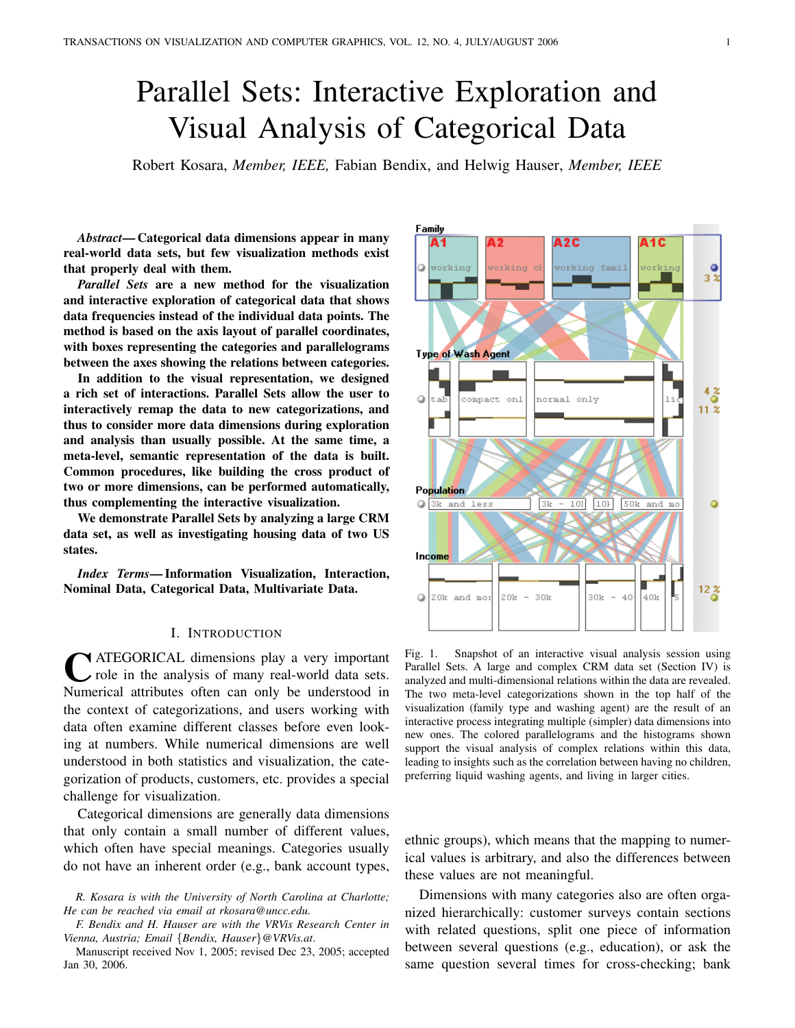# Parallel Sets: Interactive Exploration and Visual Analysis of Categorical Data

Robert Kosara, *Member, IEEE,* Fabian Bendix, and Helwig Hauser, *Member, IEEE*

*Abstract*— Categorical data dimensions appear in many real-world data sets, but few visualization methods exist that properly deal with them.

*Parallel Sets* are a new method for the visualization and interactive exploration of categorical data that shows data frequencies instead of the individual data points. The method is based on the axis layout of parallel coordinates, with boxes representing the categories and parallelograms between the axes showing the relations between categories.

In addition to the visual representation, we designed a rich set of interactions. Parallel Sets allow the user to interactively remap the data to new categorizations, and thus to consider more data dimensions during exploration and analysis than usually possible. At the same time, a meta-level, semantic representation of the data is built. Common procedures, like building the cross product of two or more dimensions, can be performed automatically, thus complementing the interactive visualization.

We demonstrate Parallel Sets by analyzing a large CRM data set, as well as investigating housing data of two US states.

*Index Terms*— Information Visualization, Interaction, Nominal Data, Categorical Data, Multivariate Data.

#### I. INTRODUCTION

C ATEGORICAL dimensions play a very important role in the analysis of many real-world data sets.<br>Numerical attributes often can only be understood in **ATEGORICAL dimensions play a very important** role in the analysis of many real-world data sets. the context of categorizations, and users working with data often examine different classes before even looking at numbers. While numerical dimensions are well understood in both statistics and visualization, the categorization of products, customers, etc. provides a special challenge for visualization.

Categorical dimensions are generally data dimensions that only contain a small number of different values, which often have special meanings. Categories usually do not have an inherent order (e.g., bank account types,

*R. Kosara is with the University of North Carolina at Charlotte; He can be reached via email at rkosara@uncc.edu.*

*F. Bendix and H. Hauser are with the VRVis Research Center in Vienna, Austria; Email* {*Bendix, Hauser*}*@VRVis.at*.

Manuscript received Nov 1, 2005; revised Dec 23, 2005; accepted Jan 30, 2006.



Fig. 1. Snapshot of an interactive visual analysis session using Parallel Sets. A large and complex CRM data set (Section IV) is analyzed and multi-dimensional relations within the data are revealed. The two meta-level categorizations shown in the top half of the visualization (family type and washing agent) are the result of an interactive process integrating multiple (simpler) data dimensions into new ones. The colored parallelograms and the histograms shown support the visual analysis of complex relations within this data, leading to insights such as the correlation between having no children, preferring liquid washing agents, and living in larger cities.

ethnic groups), which means that the mapping to numerical values is arbitrary, and also the differences between these values are not meaningful.

Dimensions with many categories also are often organized hierarchically: customer surveys contain sections with related questions, split one piece of information between several questions (e.g., education), or ask the same question several times for cross-checking; bank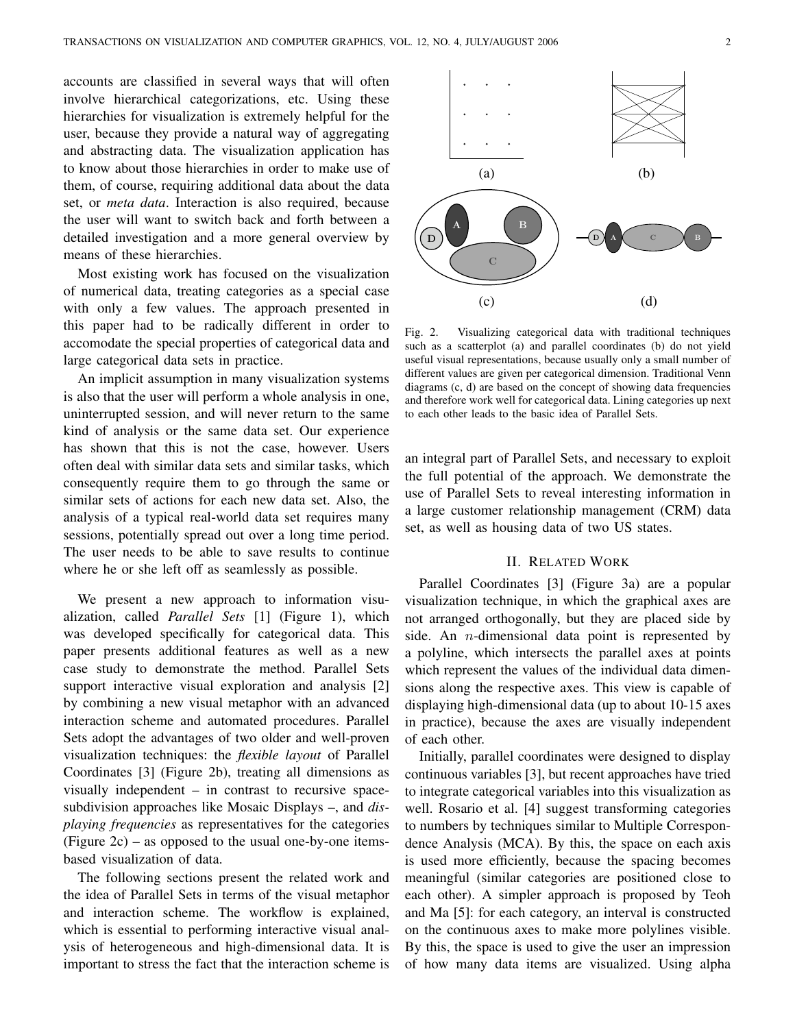accounts are classified in several ways that will often involve hierarchical categorizations, etc. Using these hierarchies for visualization is extremely helpful for the user, because they provide a natural way of aggregating and abstracting data. The visualization application has to know about those hierarchies in order to make use of them, of course, requiring additional data about the data set, or *meta data*. Interaction is also required, because the user will want to switch back and forth between a detailed investigation and a more general overview by means of these hierarchies.

Most existing work has focused on the visualization of numerical data, treating categories as a special case with only a few values. The approach presented in this paper had to be radically different in order to accomodate the special properties of categorical data and large categorical data sets in practice.

An implicit assumption in many visualization systems is also that the user will perform a whole analysis in one, uninterrupted session, and will never return to the same kind of analysis or the same data set. Our experience has shown that this is not the case, however. Users often deal with similar data sets and similar tasks, which consequently require them to go through the same or similar sets of actions for each new data set. Also, the analysis of a typical real-world data set requires many sessions, potentially spread out over a long time period. The user needs to be able to save results to continue where he or she left off as seamlessly as possible.

We present a new approach to information visualization, called *Parallel Sets* [1] (Figure 1), which was developed specifically for categorical data. This paper presents additional features as well as a new case study to demonstrate the method. Parallel Sets support interactive visual exploration and analysis [2] by combining a new visual metaphor with an advanced interaction scheme and automated procedures. Parallel Sets adopt the advantages of two older and well-proven visualization techniques: the *flexible layout* of Parallel Coordinates [3] (Figure 2b), treating all dimensions as visually independent – in contrast to recursive spacesubdivision approaches like Mosaic Displays –, and *displaying frequencies* as representatives for the categories (Figure 2c) – as opposed to the usual one-by-one itemsbased visualization of data.

The following sections present the related work and the idea of Parallel Sets in terms of the visual metaphor and interaction scheme. The workflow is explained, which is essential to performing interactive visual analysis of heterogeneous and high-dimensional data. It is important to stress the fact that the interaction scheme is



Fig. 2. Visualizing categorical data with traditional techniques such as a scatterplot (a) and parallel coordinates (b) do not yield useful visual representations, because usually only a small number of different values are given per categorical dimension. Traditional Venn diagrams (c, d) are based on the concept of showing data frequencies and therefore work well for categorical data. Lining categories up next to each other leads to the basic idea of Parallel Sets.

an integral part of Parallel Sets, and necessary to exploit the full potential of the approach. We demonstrate the use of Parallel Sets to reveal interesting information in a large customer relationship management (CRM) data set, as well as housing data of two US states.

#### II. RELATED WORK

Parallel Coordinates [3] (Figure 3a) are a popular visualization technique, in which the graphical axes are not arranged orthogonally, but they are placed side by side. An  $n$ -dimensional data point is represented by a polyline, which intersects the parallel axes at points which represent the values of the individual data dimensions along the respective axes. This view is capable of displaying high-dimensional data (up to about 10-15 axes in practice), because the axes are visually independent of each other.

Initially, parallel coordinates were designed to display continuous variables [3], but recent approaches have tried to integrate categorical variables into this visualization as well. Rosario et al. [4] suggest transforming categories to numbers by techniques similar to Multiple Correspondence Analysis (MCA). By this, the space on each axis is used more efficiently, because the spacing becomes meaningful (similar categories are positioned close to each other). A simpler approach is proposed by Teoh and Ma [5]: for each category, an interval is constructed on the continuous axes to make more polylines visible. By this, the space is used to give the user an impression of how many data items are visualized. Using alpha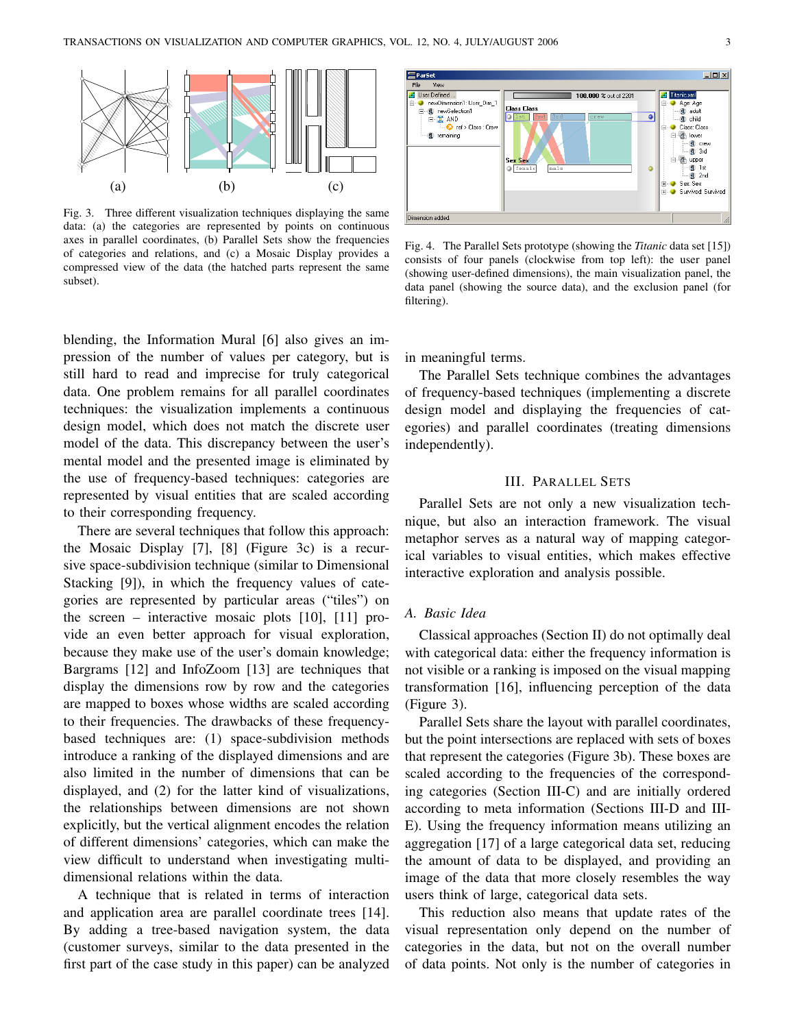

Fig. 3. Three different visualization techniques displaying the same data: (a) the categories are represented by points on continuous axes in parallel coordinates, (b) Parallel Sets show the frequencies of categories and relations, and (c) a Mosaic Display provides a compressed view of the data (the hatched parts represent the same subset).



Fig. 4. The Parallel Sets prototype (showing the *Titanic* data set [15]) consists of four panels (clockwise from top left): the user panel (showing user-defined dimensions), the main visualization panel, the data panel (showing the source data), and the exclusion panel (for filtering).

blending, the Information Mural [6] also gives an impression of the number of values per category, but is still hard to read and imprecise for truly categorical data. One problem remains for all parallel coordinates techniques: the visualization implements a continuous design model, which does not match the discrete user model of the data. This discrepancy between the user's mental model and the presented image is eliminated by the use of frequency-based techniques: categories are represented by visual entities that are scaled according to their corresponding frequency.

There are several techniques that follow this approach: the Mosaic Display [7], [8] (Figure 3c) is a recursive space-subdivision technique (similar to Dimensional Stacking [9]), in which the frequency values of categories are represented by particular areas ("tiles") on the screen – interactive mosaic plots [10], [11] provide an even better approach for visual exploration, because they make use of the user's domain knowledge; Bargrams [12] and InfoZoom [13] are techniques that display the dimensions row by row and the categories are mapped to boxes whose widths are scaled according to their frequencies. The drawbacks of these frequencybased techniques are: (1) space-subdivision methods introduce a ranking of the displayed dimensions and are also limited in the number of dimensions that can be displayed, and (2) for the latter kind of visualizations, the relationships between dimensions are not shown explicitly, but the vertical alignment encodes the relation of different dimensions' categories, which can make the view difficult to understand when investigating multidimensional relations within the data.

A technique that is related in terms of interaction and application area are parallel coordinate trees [14]. By adding a tree-based navigation system, the data (customer surveys, similar to the data presented in the first part of the case study in this paper) can be analyzed in meaningful terms.

The Parallel Sets technique combines the advantages of frequency-based techniques (implementing a discrete design model and displaying the frequencies of categories) and parallel coordinates (treating dimensions independently).

## III. PARALLEL SETS

Parallel Sets are not only a new visualization technique, but also an interaction framework. The visual metaphor serves as a natural way of mapping categorical variables to visual entities, which makes effective interactive exploration and analysis possible.

## *A. Basic Idea*

Classical approaches (Section II) do not optimally deal with categorical data: either the frequency information is not visible or a ranking is imposed on the visual mapping transformation [16], influencing perception of the data (Figure 3).

Parallel Sets share the layout with parallel coordinates, but the point intersections are replaced with sets of boxes that represent the categories (Figure 3b). These boxes are scaled according to the frequencies of the corresponding categories (Section III-C) and are initially ordered according to meta information (Sections III-D and III-E). Using the frequency information means utilizing an aggregation [17] of a large categorical data set, reducing the amount of data to be displayed, and providing an image of the data that more closely resembles the way users think of large, categorical data sets.

This reduction also means that update rates of the visual representation only depend on the number of categories in the data, but not on the overall number of data points. Not only is the number of categories in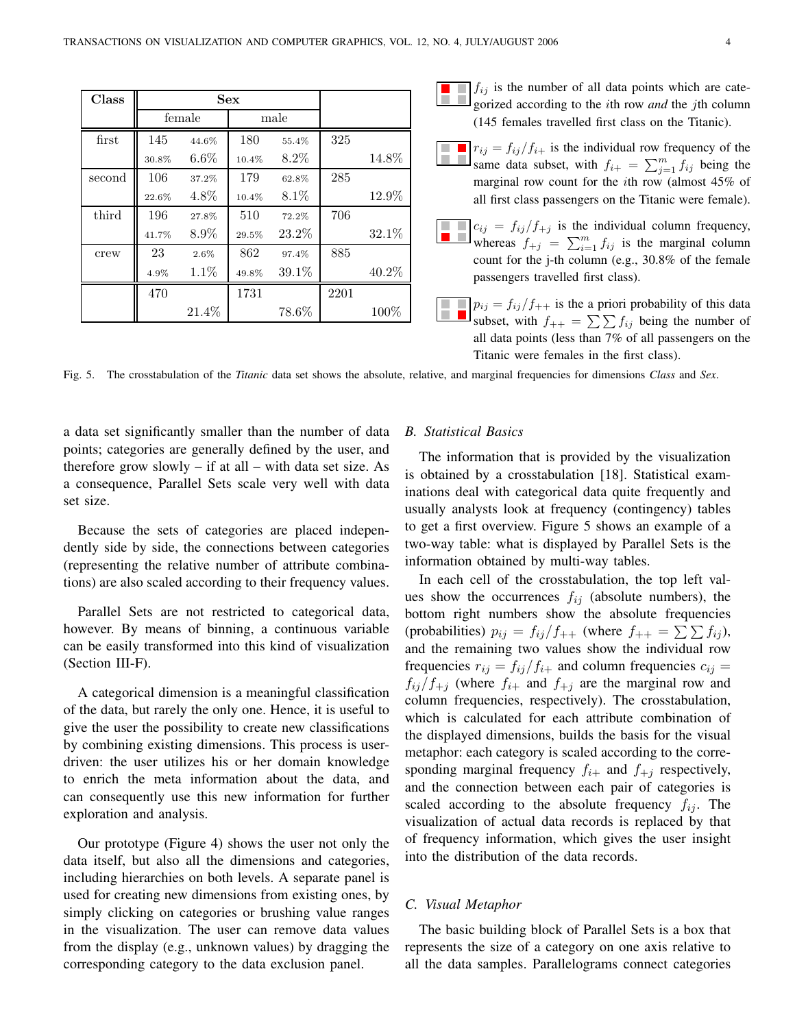| <b>Class</b> | <b>Sex</b> |         |       |          |      |          |
|--------------|------------|---------|-------|----------|------|----------|
|              | female     |         | male  |          |      |          |
| first        | 145        | 44.6%   | 180   | 55.4%    | 325  |          |
|              | 30.8%      | $6.6\%$ | 10.4% | $8.2\%$  |      | 14.8%    |
| second       | 106        | 37.2%   | 179   | 62.8%    | 285  |          |
|              | 22.6%      | $4.8\%$ | 10.4% | $8.1\%$  |      | 12.9%    |
| third        | 196        | 27.8%   | 510   | 72.2%    | 706  |          |
|              | 41.7%      | 8.9%    | 29.5% | 23.2%    |      | 32.1%    |
| crew         | 23         | $2.6\%$ | 862   | 97.4%    | 885  |          |
|              | 4.9%       | $1.1\%$ | 49.8% | $39.1\%$ |      | $40.2\%$ |
|              | 470        |         | 1731  |          | 2201 |          |
|              |            | 21.4%   |       | 78.6%    |      | $100\%$  |

- -  $\blacksquare$   $f_{ij}$  is the number of all data points which are categorized according to the ith row *and* the jth column (145 females travelled first class on the Titanic).

-  $r_{ij} = f_{ij}/f_{i+}$  is the individual row frequency of the same data subset, with  $f_{i+} = \sum_{j=1}^{m} f_{ij}$  being the marginal row count for the ith row (almost 45% of all first class passengers on the Titanic were female).

- -  $\Gamma$   $c_{ij} = f_{ij}/f_{+j}$  is the individual column frequency, whereas  $f_{+j} = \sum_{i=1}^{m} f_{ij}$  is the marginal column count for the j-th column (e.g., 30.8% of the female passengers travelled first class).
- $p_{ij} = f_{ij}/f_{++}$  is the a priori probability of this data subset, with  $f_{++} = \sum \sum f_{ij}$  being the number of all data points (less than 7% of all passengers on the Titanic were females in the first class).

Fig. 5. The crosstabulation of the *Titanic* data set shows the absolute, relative, and marginal frequencies for dimensions *Class* and *Sex*.

a data set significantly smaller than the number of data points; categories are generally defined by the user, and therefore grow slowly – if at all – with data set size. As a consequence, Parallel Sets scale very well with data set size.

Because the sets of categories are placed independently side by side, the connections between categories (representing the relative number of attribute combinations) are also scaled according to their frequency values.

Parallel Sets are not restricted to categorical data, however. By means of binning, a continuous variable can be easily transformed into this kind of visualization (Section III-F).

A categorical dimension is a meaningful classification of the data, but rarely the only one. Hence, it is useful to give the user the possibility to create new classifications by combining existing dimensions. This process is userdriven: the user utilizes his or her domain knowledge to enrich the meta information about the data, and can consequently use this new information for further exploration and analysis.

Our prototype (Figure 4) shows the user not only the data itself, but also all the dimensions and categories, including hierarchies on both levels. A separate panel is used for creating new dimensions from existing ones, by simply clicking on categories or brushing value ranges in the visualization. The user can remove data values from the display (e.g., unknown values) by dragging the corresponding category to the data exclusion panel.

## *B. Statistical Basics*

The information that is provided by the visualization is obtained by a crosstabulation [18]. Statistical examinations deal with categorical data quite frequently and usually analysts look at frequency (contingency) tables to get a first overview. Figure 5 shows an example of a two-way table: what is displayed by Parallel Sets is the information obtained by multi-way tables.

In each cell of the crosstabulation, the top left values show the occurrences  $f_{ij}$  (absolute numbers), the bottom right numbers show the absolute frequencies (probabilities)  $p_{ij} = f_{ij}/f_{++}$  (where  $f_{++} = \sum \sum f_{ij}$ ), and the remaining two values show the individual row frequencies  $r_{ij} = f_{ij}/f_{i+}$  and column frequencies  $c_{ij} =$  $f_{ij}/f_{+j}$  (where  $f_{i+}$  and  $f_{+j}$  are the marginal row and column frequencies, respectively). The crosstabulation, which is calculated for each attribute combination of the displayed dimensions, builds the basis for the visual metaphor: each category is scaled according to the corresponding marginal frequency  $f_{i+}$  and  $f_{+j}$  respectively, and the connection between each pair of categories is scaled according to the absolute frequency  $f_{ij}$ . The visualization of actual data records is replaced by that of frequency information, which gives the user insight into the distribution of the data records.

#### *C. Visual Metaphor*

The basic building block of Parallel Sets is a box that represents the size of a category on one axis relative to all the data samples. Parallelograms connect categories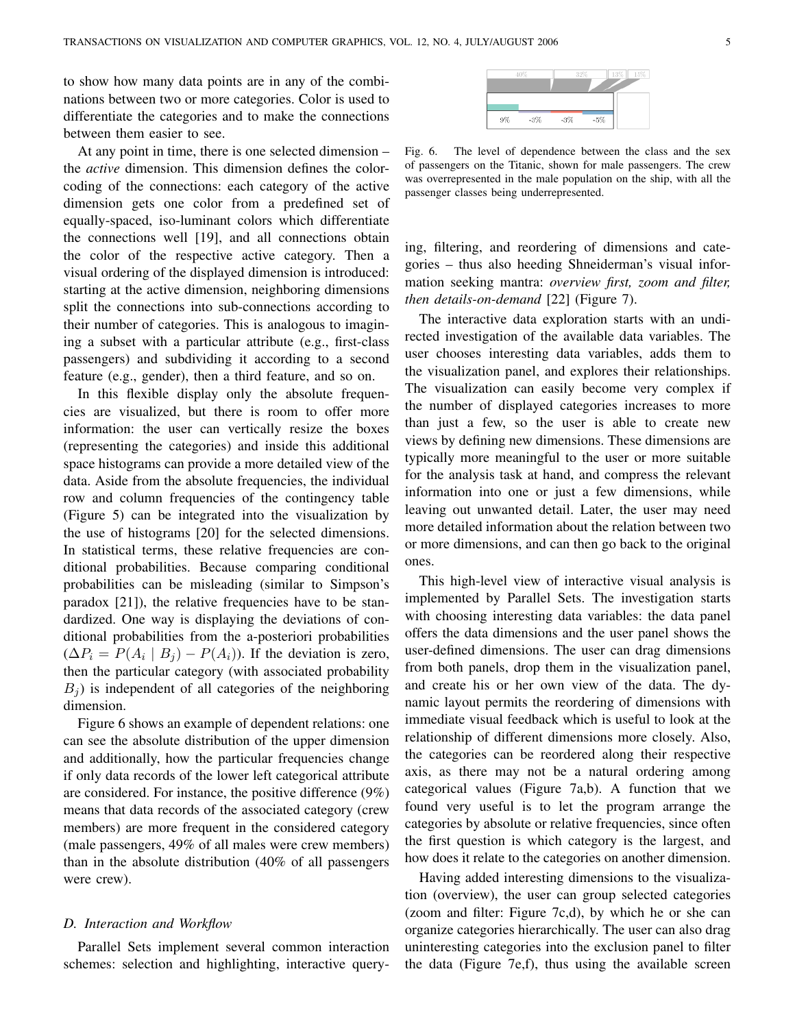to show how many data points are in any of the combinations between two or more categories. Color is used to differentiate the categories and to make the connections between them easier to see.

At any point in time, there is one selected dimension – the *active* dimension. This dimension defines the colorcoding of the connections: each category of the active dimension gets one color from a predefined set of equally-spaced, iso-luminant colors which differentiate the connections well [19], and all connections obtain the color of the respective active category. Then a visual ordering of the displayed dimension is introduced: starting at the active dimension, neighboring dimensions split the connections into sub-connections according to their number of categories. This is analogous to imagining a subset with a particular attribute (e.g., first-class passengers) and subdividing it according to a second feature (e.g., gender), then a third feature, and so on.

In this flexible display only the absolute frequencies are visualized, but there is room to offer more information: the user can vertically resize the boxes (representing the categories) and inside this additional space histograms can provide a more detailed view of the data. Aside from the absolute frequencies, the individual row and column frequencies of the contingency table (Figure 5) can be integrated into the visualization by the use of histograms [20] for the selected dimensions. In statistical terms, these relative frequencies are conditional probabilities. Because comparing conditional probabilities can be misleading (similar to Simpson's paradox [21]), the relative frequencies have to be standardized. One way is displaying the deviations of conditional probabilities from the a-posteriori probabilities  $(\Delta P_i = P(A_i \mid B_j) - P(A_i))$ . If the deviation is zero, then the particular category (with associated probability  $B_i$ ) is independent of all categories of the neighboring dimension.

Figure 6 shows an example of dependent relations: one can see the absolute distribution of the upper dimension and additionally, how the particular frequencies change if only data records of the lower left categorical attribute are considered. For instance, the positive difference (9%) means that data records of the associated category (crew members) are more frequent in the considered category (male passengers, 49% of all males were crew members) than in the absolute distribution (40% of all passengers were crew).

#### *D. Interaction and Workflow*

Parallel Sets implement several common interaction schemes: selection and highlighting, interactive query-



Fig. 6. The level of dependence between the class and the sex of passengers on the Titanic, shown for male passengers. The crew was overrepresented in the male population on the ship, with all the passenger classes being underrepresented.

ing, filtering, and reordering of dimensions and categories – thus also heeding Shneiderman's visual information seeking mantra: *overview first, zoom and filter, then details-on-demand* [22] (Figure 7).

The interactive data exploration starts with an undirected investigation of the available data variables. The user chooses interesting data variables, adds them to the visualization panel, and explores their relationships. The visualization can easily become very complex if the number of displayed categories increases to more than just a few, so the user is able to create new views by defining new dimensions. These dimensions are typically more meaningful to the user or more suitable for the analysis task at hand, and compress the relevant information into one or just a few dimensions, while leaving out unwanted detail. Later, the user may need more detailed information about the relation between two or more dimensions, and can then go back to the original ones.

This high-level view of interactive visual analysis is implemented by Parallel Sets. The investigation starts with choosing interesting data variables: the data panel offers the data dimensions and the user panel shows the user-defined dimensions. The user can drag dimensions from both panels, drop them in the visualization panel, and create his or her own view of the data. The dynamic layout permits the reordering of dimensions with immediate visual feedback which is useful to look at the relationship of different dimensions more closely. Also, the categories can be reordered along their respective axis, as there may not be a natural ordering among categorical values (Figure 7a,b). A function that we found very useful is to let the program arrange the categories by absolute or relative frequencies, since often the first question is which category is the largest, and how does it relate to the categories on another dimension.

Having added interesting dimensions to the visualization (overview), the user can group selected categories (zoom and filter: Figure 7c,d), by which he or she can organize categories hierarchically. The user can also drag uninteresting categories into the exclusion panel to filter the data (Figure 7e,f), thus using the available screen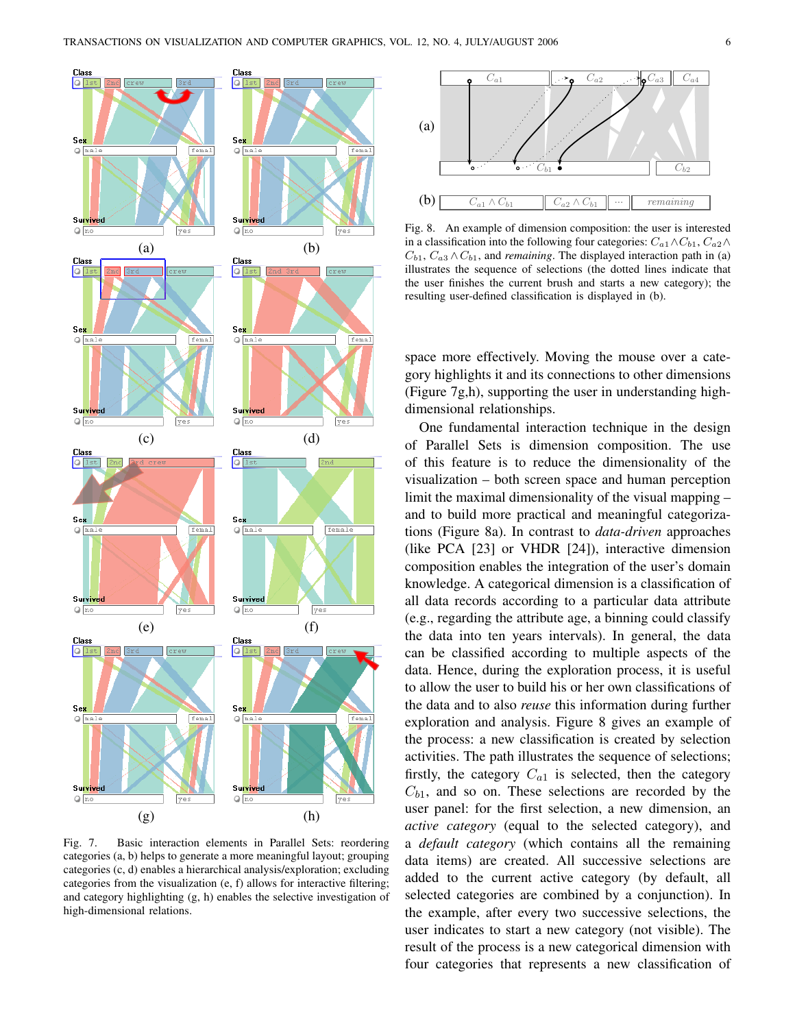

Fig. 7. Basic interaction elements in Parallel Sets: reordering categories (a, b) helps to generate a more meaningful layout; grouping categories (c, d) enables a hierarchical analysis/exploration; excluding categories from the visualization (e, f) allows for interactive filtering; and category highlighting (g, h) enables the selective investigation of high-dimensional relations.



Fig. 8. An example of dimension composition: the user is interested in a classification into the following four categories:  $C_{a1} \wedge C_{b1}$ ,  $C_{a2} \wedge$  $C_{b1}$ ,  $C_{a3} \wedge C_{b1}$ , and *remaining*. The displayed interaction path in (a) illustrates the sequence of selections (the dotted lines indicate that the user finishes the current brush and starts a new category); the resulting user-defined classification is displayed in (b).

space more effectively. Moving the mouse over a category highlights it and its connections to other dimensions (Figure 7g,h), supporting the user in understanding highdimensional relationships.

One fundamental interaction technique in the design of Parallel Sets is dimension composition. The use of this feature is to reduce the dimensionality of the visualization – both screen space and human perception limit the maximal dimensionality of the visual mapping – and to build more practical and meaningful categorizations (Figure 8a). In contrast to *data-driven* approaches (like PCA [23] or VHDR [24]), interactive dimension composition enables the integration of the user's domain knowledge. A categorical dimension is a classification of all data records according to a particular data attribute (e.g., regarding the attribute age, a binning could classify the data into ten years intervals). In general, the data can be classified according to multiple aspects of the data. Hence, during the exploration process, it is useful to allow the user to build his or her own classifications of the data and to also *reuse* this information during further exploration and analysis. Figure 8 gives an example of the process: a new classification is created by selection activities. The path illustrates the sequence of selections; firstly, the category  $C_{a1}$  is selected, then the category  $C_{b1}$ , and so on. These selections are recorded by the user panel: for the first selection, a new dimension, an *active category* (equal to the selected category), and a *default category* (which contains all the remaining data items) are created. All successive selections are added to the current active category (by default, all selected categories are combined by a conjunction). In the example, after every two successive selections, the user indicates to start a new category (not visible). The result of the process is a new categorical dimension with four categories that represents a new classification of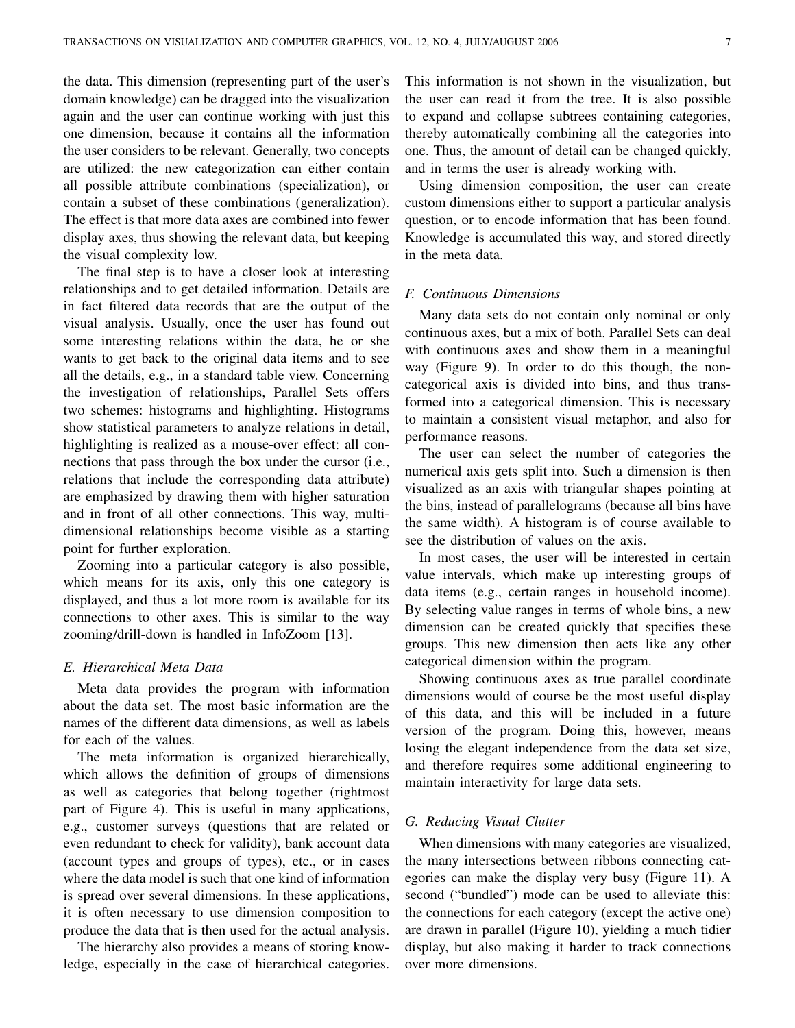the data. This dimension (representing part of the user's domain knowledge) can be dragged into the visualization again and the user can continue working with just this one dimension, because it contains all the information the user considers to be relevant. Generally, two concepts are utilized: the new categorization can either contain all possible attribute combinations (specialization), or contain a subset of these combinations (generalization). The effect is that more data axes are combined into fewer display axes, thus showing the relevant data, but keeping the visual complexity low.

The final step is to have a closer look at interesting relationships and to get detailed information. Details are in fact filtered data records that are the output of the visual analysis. Usually, once the user has found out some interesting relations within the data, he or she wants to get back to the original data items and to see all the details, e.g., in a standard table view. Concerning the investigation of relationships, Parallel Sets offers two schemes: histograms and highlighting. Histograms show statistical parameters to analyze relations in detail, highlighting is realized as a mouse-over effect: all connections that pass through the box under the cursor (i.e., relations that include the corresponding data attribute) are emphasized by drawing them with higher saturation and in front of all other connections. This way, multidimensional relationships become visible as a starting point for further exploration.

Zooming into a particular category is also possible, which means for its axis, only this one category is displayed, and thus a lot more room is available for its connections to other axes. This is similar to the way zooming/drill-down is handled in InfoZoom [13].

# *E. Hierarchical Meta Data*

Meta data provides the program with information about the data set. The most basic information are the names of the different data dimensions, as well as labels for each of the values.

The meta information is organized hierarchically, which allows the definition of groups of dimensions as well as categories that belong together (rightmost part of Figure 4). This is useful in many applications, e.g., customer surveys (questions that are related or even redundant to check for validity), bank account data (account types and groups of types), etc., or in cases where the data model is such that one kind of information is spread over several dimensions. In these applications, it is often necessary to use dimension composition to produce the data that is then used for the actual analysis.

The hierarchy also provides a means of storing knowledge, especially in the case of hierarchical categories. This information is not shown in the visualization, but the user can read it from the tree. It is also possible to expand and collapse subtrees containing categories, thereby automatically combining all the categories into one. Thus, the amount of detail can be changed quickly, and in terms the user is already working with.

Using dimension composition, the user can create custom dimensions either to support a particular analysis question, or to encode information that has been found. Knowledge is accumulated this way, and stored directly in the meta data.

## *F. Continuous Dimensions*

Many data sets do not contain only nominal or only continuous axes, but a mix of both. Parallel Sets can deal with continuous axes and show them in a meaningful way (Figure 9). In order to do this though, the noncategorical axis is divided into bins, and thus transformed into a categorical dimension. This is necessary to maintain a consistent visual metaphor, and also for performance reasons.

The user can select the number of categories the numerical axis gets split into. Such a dimension is then visualized as an axis with triangular shapes pointing at the bins, instead of parallelograms (because all bins have the same width). A histogram is of course available to see the distribution of values on the axis.

In most cases, the user will be interested in certain value intervals, which make up interesting groups of data items (e.g., certain ranges in household income). By selecting value ranges in terms of whole bins, a new dimension can be created quickly that specifies these groups. This new dimension then acts like any other categorical dimension within the program.

Showing continuous axes as true parallel coordinate dimensions would of course be the most useful display of this data, and this will be included in a future version of the program. Doing this, however, means losing the elegant independence from the data set size, and therefore requires some additional engineering to maintain interactivity for large data sets.

#### *G. Reducing Visual Clutter*

When dimensions with many categories are visualized, the many intersections between ribbons connecting categories can make the display very busy (Figure 11). A second ("bundled") mode can be used to alleviate this: the connections for each category (except the active one) are drawn in parallel (Figure 10), yielding a much tidier display, but also making it harder to track connections over more dimensions.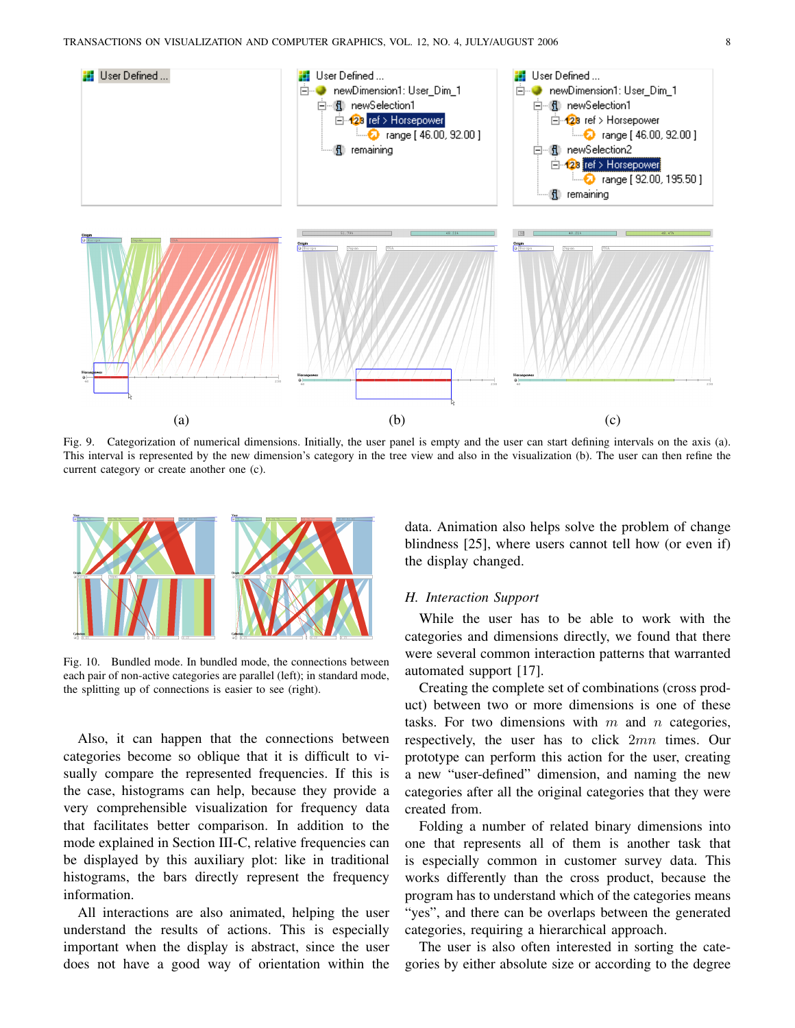

Fig. 9. Categorization of numerical dimensions. Initially, the user panel is empty and the user can start defining intervals on the axis (a). This interval is represented by the new dimension's category in the tree view and also in the visualization (b). The user can then refine the current category or create another one (c).



Fig. 10. Bundled mode. In bundled mode, the connections between each pair of non-active categories are parallel (left); in standard mode, the splitting up of connections is easier to see (right).

Also, it can happen that the connections between categories become so oblique that it is difficult to visually compare the represented frequencies. If this is the case, histograms can help, because they provide a very comprehensible visualization for frequency data that facilitates better comparison. In addition to the mode explained in Section III-C, relative frequencies can be displayed by this auxiliary plot: like in traditional histograms, the bars directly represent the frequency information.

All interactions are also animated, helping the user understand the results of actions. This is especially important when the display is abstract, since the user does not have a good way of orientation within the

data. Animation also helps solve the problem of change blindness [25], where users cannot tell how (or even if) the display changed.

#### *H. Interaction Support*

While the user has to be able to work with the categories and dimensions directly, we found that there were several common interaction patterns that warranted automated support [17].

Creating the complete set of combinations (cross product) between two or more dimensions is one of these tasks. For two dimensions with  $m$  and  $n$  categories, respectively, the user has to click 2mn times. Our prototype can perform this action for the user, creating a new "user-defined" dimension, and naming the new categories after all the original categories that they were created from.

Folding a number of related binary dimensions into one that represents all of them is another task that is especially common in customer survey data. This works differently than the cross product, because the program has to understand which of the categories means "yes", and there can be overlaps between the generated categories, requiring a hierarchical approach.

The user is also often interested in sorting the categories by either absolute size or according to the degree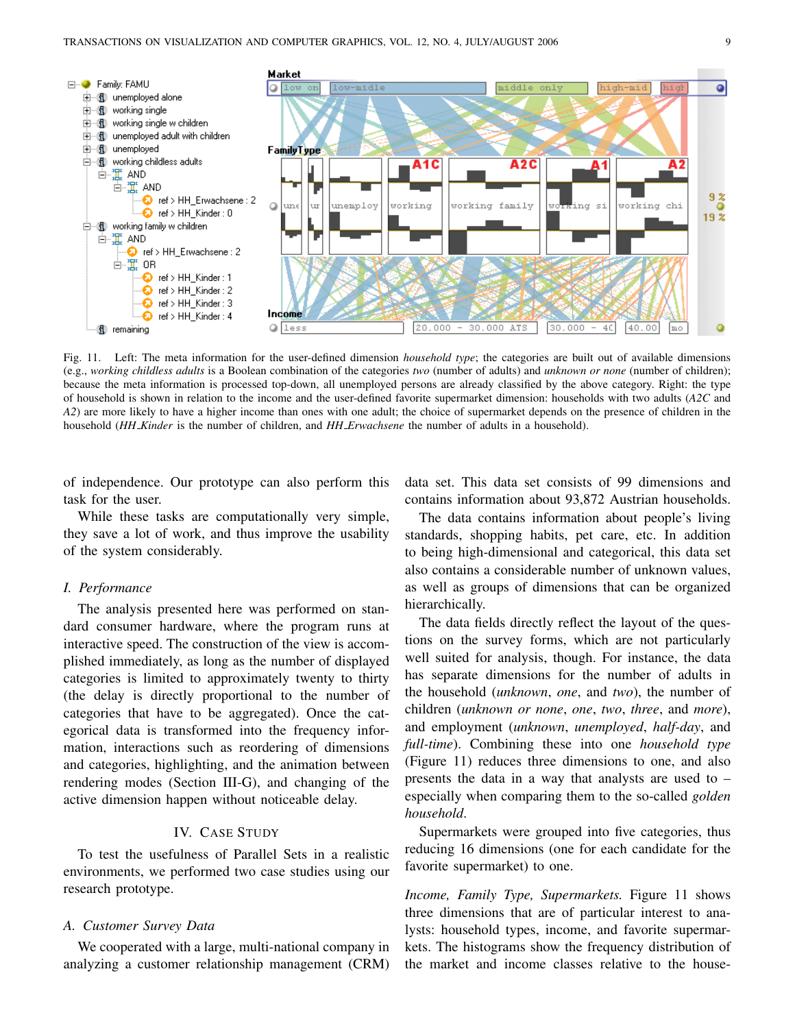

Fig. 11. Left: The meta information for the user-defined dimension *household type*; the categories are built out of available dimensions (e.g., *working childless adults* is a Boolean combination of the categories *two* (number of adults) and *unknown or none* (number of children); because the meta information is processed top-down, all unemployed persons are already classified by the above category. Right: the type of household is shown in relation to the income and the user-defined favorite supermarket dimension: households with two adults (*A2C* and *A2*) are more likely to have a higher income than ones with one adult; the choice of supermarket depends on the presence of children in the household (*HH Kinder* is the number of children, and *HH Erwachsene* the number of adults in a household).

of independence. Our prototype can also perform this task for the user.

While these tasks are computationally very simple, they save a lot of work, and thus improve the usability of the system considerably.

#### *I. Performance*

The analysis presented here was performed on standard consumer hardware, where the program runs at interactive speed. The construction of the view is accomplished immediately, as long as the number of displayed categories is limited to approximately twenty to thirty (the delay is directly proportional to the number of categories that have to be aggregated). Once the categorical data is transformed into the frequency information, interactions such as reordering of dimensions and categories, highlighting, and the animation between rendering modes (Section III-G), and changing of the active dimension happen without noticeable delay.

## IV. CASE STUDY

To test the usefulness of Parallel Sets in a realistic environments, we performed two case studies using our research prototype.

#### *A. Customer Survey Data*

We cooperated with a large, multi-national company in analyzing a customer relationship management (CRM) data set. This data set consists of 99 dimensions and contains information about 93,872 Austrian households.

The data contains information about people's living standards, shopping habits, pet care, etc. In addition to being high-dimensional and categorical, this data set also contains a considerable number of unknown values, as well as groups of dimensions that can be organized hierarchically.

The data fields directly reflect the layout of the questions on the survey forms, which are not particularly well suited for analysis, though. For instance, the data has separate dimensions for the number of adults in the household (*unknown*, *one*, and *two*), the number of children (*unknown or none*, *one*, *two*, *three*, and *more*), and employment (*unknown*, *unemployed*, *half-day*, and *full-time*). Combining these into one *household type* (Figure 11) reduces three dimensions to one, and also presents the data in a way that analysts are used to – especially when comparing them to the so-called *golden household*.

Supermarkets were grouped into five categories, thus reducing 16 dimensions (one for each candidate for the favorite supermarket) to one.

*Income, Family Type, Supermarkets.* Figure 11 shows three dimensions that are of particular interest to analysts: household types, income, and favorite supermarkets. The histograms show the frequency distribution of the market and income classes relative to the house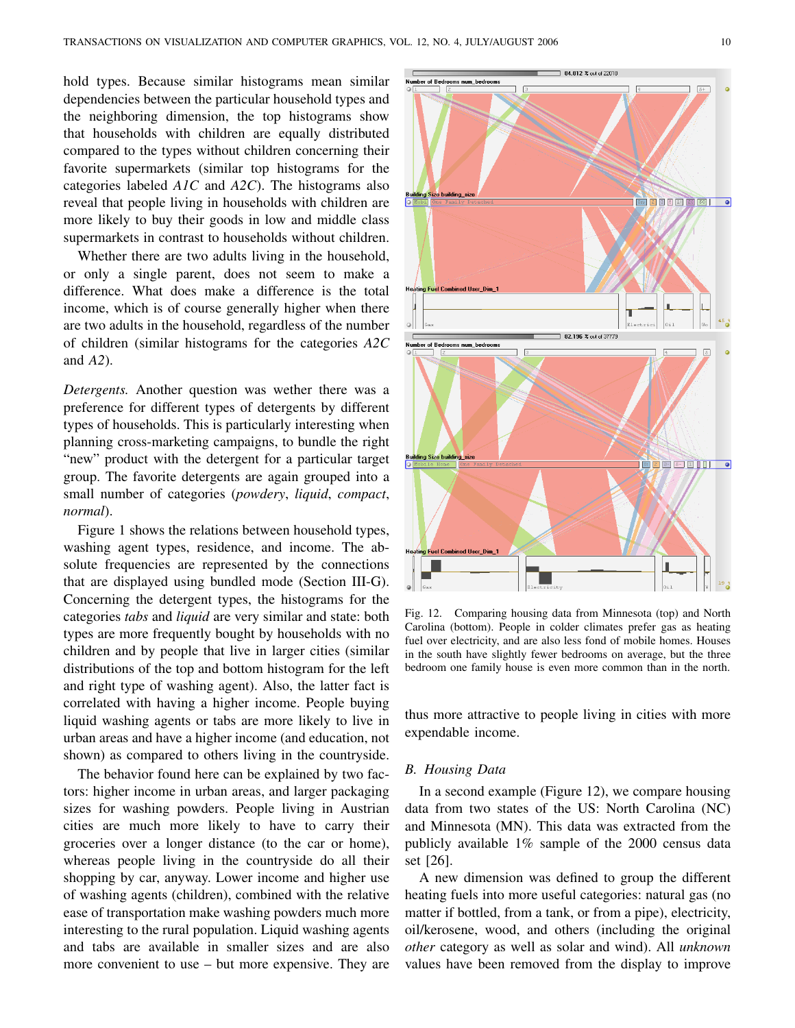hold types. Because similar histograms mean similar dependencies between the particular household types and the neighboring dimension, the top histograms show that households with children are equally distributed compared to the types without children concerning their favorite supermarkets (similar top histograms for the categories labeled *A1C* and *A2C*). The histograms also reveal that people living in households with children are more likely to buy their goods in low and middle class supermarkets in contrast to households without children.

Whether there are two adults living in the household, or only a single parent, does not seem to make a difference. What does make a difference is the total income, which is of course generally higher when there are two adults in the household, regardless of the number of children (similar histograms for the categories *A2C* and *A2*).

*Detergents.* Another question was wether there was a preference for different types of detergents by different types of households. This is particularly interesting when planning cross-marketing campaigns, to bundle the right "new" product with the detergent for a particular target group. The favorite detergents are again grouped into a small number of categories (*powdery*, *liquid*, *compact*, *normal*).

Figure 1 shows the relations between household types, washing agent types, residence, and income. The absolute frequencies are represented by the connections that are displayed using bundled mode (Section III-G). Concerning the detergent types, the histograms for the categories *tabs* and *liquid* are very similar and state: both types are more frequently bought by households with no children and by people that live in larger cities (similar distributions of the top and bottom histogram for the left and right type of washing agent). Also, the latter fact is correlated with having a higher income. People buying liquid washing agents or tabs are more likely to live in urban areas and have a higher income (and education, not shown) as compared to others living in the countryside.

The behavior found here can be explained by two factors: higher income in urban areas, and larger packaging sizes for washing powders. People living in Austrian cities are much more likely to have to carry their groceries over a longer distance (to the car or home), whereas people living in the countryside do all their shopping by car, anyway. Lower income and higher use of washing agents (children), combined with the relative ease of transportation make washing powders much more interesting to the rural population. Liquid washing agents and tabs are available in smaller sizes and are also more convenient to use – but more expensive. They are



Fig. 12. Comparing housing data from Minnesota (top) and North Carolina (bottom). People in colder climates prefer gas as heating fuel over electricity, and are also less fond of mobile homes. Houses in the south have slightly fewer bedrooms on average, but the three bedroom one family house is even more common than in the north.

thus more attractive to people living in cities with more expendable income.

#### *B. Housing Data*

In a second example (Figure 12), we compare housing data from two states of the US: North Carolina (NC) and Minnesota (MN). This data was extracted from the publicly available 1% sample of the 2000 census data set [26].

A new dimension was defined to group the different heating fuels into more useful categories: natural gas (no matter if bottled, from a tank, or from a pipe), electricity, oil/kerosene, wood, and others (including the original *other* category as well as solar and wind). All *unknown* values have been removed from the display to improve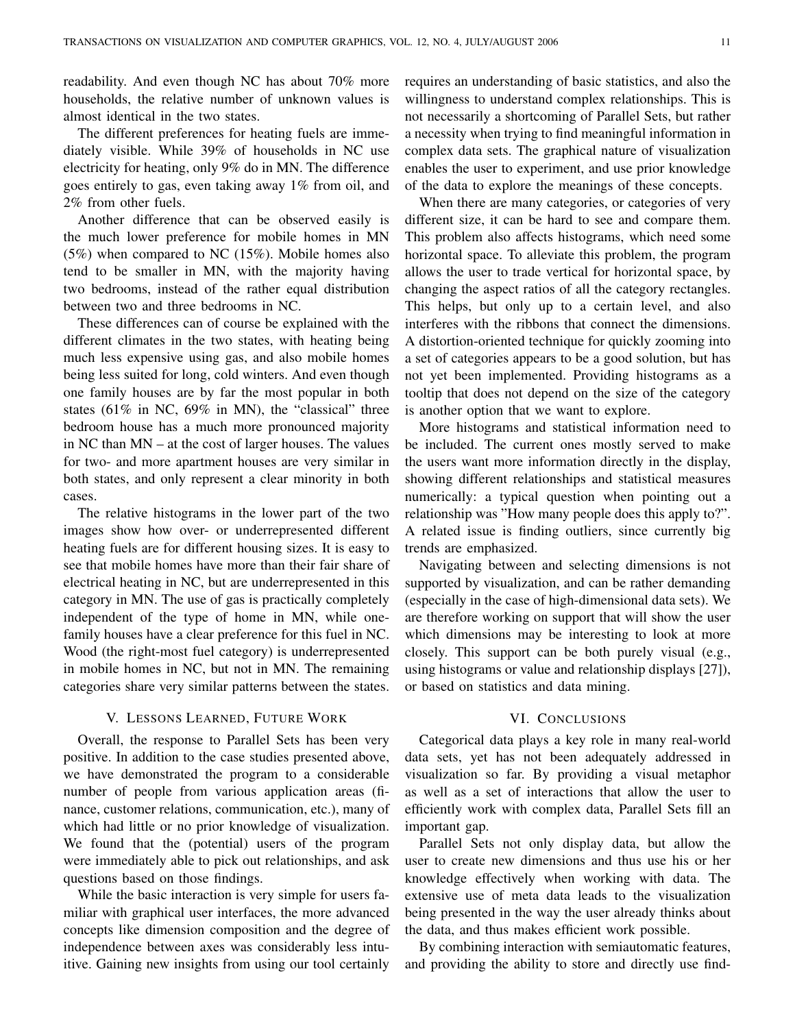readability. And even though NC has about 70% more households, the relative number of unknown values is almost identical in the two states.

The different preferences for heating fuels are immediately visible. While 39% of households in NC use electricity for heating, only 9% do in MN. The difference goes entirely to gas, even taking away 1% from oil, and 2% from other fuels.

Another difference that can be observed easily is the much lower preference for mobile homes in MN (5%) when compared to NC (15%). Mobile homes also tend to be smaller in MN, with the majority having two bedrooms, instead of the rather equal distribution between two and three bedrooms in NC.

These differences can of course be explained with the different climates in the two states, with heating being much less expensive using gas, and also mobile homes being less suited for long, cold winters. And even though one family houses are by far the most popular in both states  $(61\%$  in NC,  $69\%$  in MN), the "classical" three bedroom house has a much more pronounced majority in NC than MN – at the cost of larger houses. The values for two- and more apartment houses are very similar in both states, and only represent a clear minority in both cases.

The relative histograms in the lower part of the two images show how over- or underrepresented different heating fuels are for different housing sizes. It is easy to see that mobile homes have more than their fair share of electrical heating in NC, but are underrepresented in this category in MN. The use of gas is practically completely independent of the type of home in MN, while onefamily houses have a clear preference for this fuel in NC. Wood (the right-most fuel category) is underrepresented in mobile homes in NC, but not in MN. The remaining categories share very similar patterns between the states.

#### V. LESSONS LEARNED, FUTURE WORK

Overall, the response to Parallel Sets has been very positive. In addition to the case studies presented above, we have demonstrated the program to a considerable number of people from various application areas (finance, customer relations, communication, etc.), many of which had little or no prior knowledge of visualization. We found that the (potential) users of the program were immediately able to pick out relationships, and ask questions based on those findings.

While the basic interaction is very simple for users familiar with graphical user interfaces, the more advanced concepts like dimension composition and the degree of independence between axes was considerably less intuitive. Gaining new insights from using our tool certainly requires an understanding of basic statistics, and also the willingness to understand complex relationships. This is not necessarily a shortcoming of Parallel Sets, but rather a necessity when trying to find meaningful information in complex data sets. The graphical nature of visualization enables the user to experiment, and use prior knowledge of the data to explore the meanings of these concepts.

When there are many categories, or categories of very different size, it can be hard to see and compare them. This problem also affects histograms, which need some horizontal space. To alleviate this problem, the program allows the user to trade vertical for horizontal space, by changing the aspect ratios of all the category rectangles. This helps, but only up to a certain level, and also interferes with the ribbons that connect the dimensions. A distortion-oriented technique for quickly zooming into a set of categories appears to be a good solution, but has not yet been implemented. Providing histograms as a tooltip that does not depend on the size of the category is another option that we want to explore.

More histograms and statistical information need to be included. The current ones mostly served to make the users want more information directly in the display, showing different relationships and statistical measures numerically: a typical question when pointing out a relationship was "How many people does this apply to?". A related issue is finding outliers, since currently big trends are emphasized.

Navigating between and selecting dimensions is not supported by visualization, and can be rather demanding (especially in the case of high-dimensional data sets). We are therefore working on support that will show the user which dimensions may be interesting to look at more closely. This support can be both purely visual (e.g., using histograms or value and relationship displays [27]), or based on statistics and data mining.

## VI. CONCLUSIONS

Categorical data plays a key role in many real-world data sets, yet has not been adequately addressed in visualization so far. By providing a visual metaphor as well as a set of interactions that allow the user to efficiently work with complex data, Parallel Sets fill an important gap.

Parallel Sets not only display data, but allow the user to create new dimensions and thus use his or her knowledge effectively when working with data. The extensive use of meta data leads to the visualization being presented in the way the user already thinks about the data, and thus makes efficient work possible.

By combining interaction with semiautomatic features, and providing the ability to store and directly use find